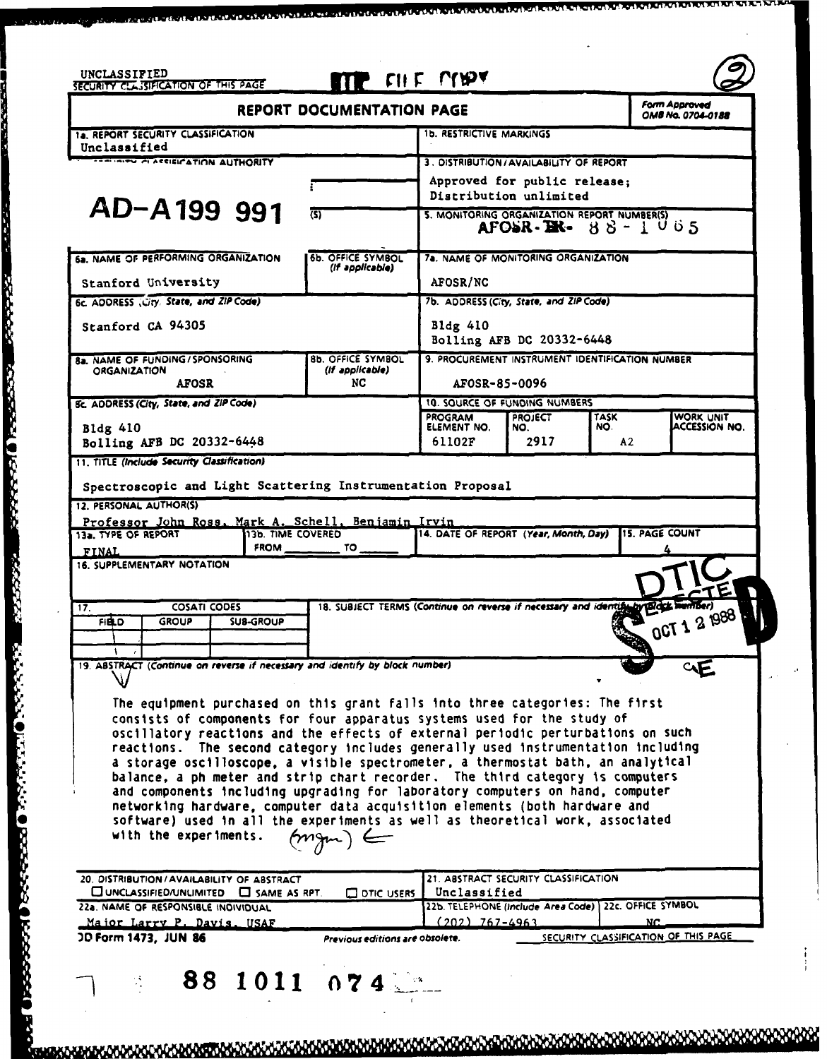|                                                                                                                                                                                                                                                                                                                                                                                                                                                                                                                                                                                                     | <b>REPORT DOCUMENTATION PAGE</b>                                           |                                                                           |                       |                    | Form Approved<br>OMB No. 0704-0188          |
|-----------------------------------------------------------------------------------------------------------------------------------------------------------------------------------------------------------------------------------------------------------------------------------------------------------------------------------------------------------------------------------------------------------------------------------------------------------------------------------------------------------------------------------------------------------------------------------------------------|----------------------------------------------------------------------------|---------------------------------------------------------------------------|-----------------------|--------------------|---------------------------------------------|
| 1a. REPORT SECURITY CLASSIFICATION                                                                                                                                                                                                                                                                                                                                                                                                                                                                                                                                                                  |                                                                            | <b>1b. RESTRICTIVE MARKINGS</b>                                           |                       |                    |                                             |
| Unclassified<br><b>CONDITION ANTIQUES IN A UTHORITY</b>                                                                                                                                                                                                                                                                                                                                                                                                                                                                                                                                             |                                                                            | 3. DISTRIBUTION/AVAILABILITY OF REPORT                                    |                       |                    |                                             |
|                                                                                                                                                                                                                                                                                                                                                                                                                                                                                                                                                                                                     |                                                                            | Approved for public release;                                              |                       |                    |                                             |
| AD-A199 991                                                                                                                                                                                                                                                                                                                                                                                                                                                                                                                                                                                         | (S)                                                                        | Distribution unlimited<br>5. MONITORING ORGANIZATION REPORT NUMBER(S)     |                       |                    |                                             |
|                                                                                                                                                                                                                                                                                                                                                                                                                                                                                                                                                                                                     |                                                                            | $\angle AFGSR - \angle BK - 88 - 1005$                                    |                       |                    |                                             |
| 6a. NAME OF PERFORMING ORGANIZATION                                                                                                                                                                                                                                                                                                                                                                                                                                                                                                                                                                 | 6b. OFFICE SYMBOL<br>(If applicable)                                       | 7a. NAME OF MONITORING ORGANIZATION                                       |                       |                    |                                             |
| Stanford University                                                                                                                                                                                                                                                                                                                                                                                                                                                                                                                                                                                 |                                                                            | AFOSR/NC                                                                  |                       |                    |                                             |
| 6c. ADDRESS City. State, and ZIP Code)                                                                                                                                                                                                                                                                                                                                                                                                                                                                                                                                                              | 7b. ADDRESS (City, State, and ZIP Code)                                    |                                                                           |                       |                    |                                             |
| Stanford CA 94305                                                                                                                                                                                                                                                                                                                                                                                                                                                                                                                                                                                   |                                                                            | Bldg 410<br>Bolling AFB DC 20332-6448                                     |                       |                    |                                             |
| 8a. NAME OF FUNDING/SPONSORING<br><b>ORGANIZATION</b>                                                                                                                                                                                                                                                                                                                                                                                                                                                                                                                                               | <b>8b. OFFICE SYMBOL</b><br>(If applicable)                                | 9. PROCUREMENT INSTRUMENT IDENTIFICATION NUMBER                           |                       |                    |                                             |
| <b>AFOSR</b>                                                                                                                                                                                                                                                                                                                                                                                                                                                                                                                                                                                        | NC                                                                         | AFOSR-85-0096                                                             |                       |                    |                                             |
| <b>8c. ADDRESS (City, State, and ZIP Code)</b>                                                                                                                                                                                                                                                                                                                                                                                                                                                                                                                                                      | 10. SQURCE OF FUNDING NUMBERS                                              |                                                                           |                       |                    |                                             |
| Bldg 410                                                                                                                                                                                                                                                                                                                                                                                                                                                                                                                                                                                            |                                                                            | PROGRAM<br>ELEMENT NO.                                                    | <b>PROJECT</b><br>NO. | <b>TASK</b><br>NO. | WORK UNIT<br>ACCESSION NO.                  |
| Bolling AFB DC 20332-6448<br>11. TITLE (Include Security Classification)                                                                                                                                                                                                                                                                                                                                                                                                                                                                                                                            |                                                                            | 61102F                                                                    | 2917                  | A2                 |                                             |
| <b>COSATI CODES</b>                                                                                                                                                                                                                                                                                                                                                                                                                                                                                                                                                                                 | 18. SUBJECT TERMS (Continue on reverse if necessary and identify by Bldgk) |                                                                           |                       |                    |                                             |
| <b>16. SUPPLEMENTARY NOTATION</b><br>17.<br><b>FIELD</b><br><b>GROUP</b><br><b>SUB-GROUP</b><br>19. ABSTRACT (Continue on reverse if necessary and identify by block number)<br>The equipment purchased on this grant falls into three categories: The first<br>consists of components for four apparatus systems used for the study of<br>oscillatory reactions and the effects of external periodic perturbations on such<br>reactions. The second category includes generally used instrumentation including<br>a storage oscilloscope, a visible spectrometer, a thermostat bath, an analytical |                                                                            |                                                                           |                       |                    | <b>OCI</b>                                  |
| balance, a ph meter and strip chart recorder. The third category is computers<br>and components including upgrading for laboratory computers on hand, computer<br>networking hardware, computer data acquisition elements (both hardware and<br>software) used in all the experiments as well as theoretical work, associated<br>with the experiments.<br>20. DISTRIBUTION / AVAILABILITY OF ABSTRACT                                                                                                                                                                                               |                                                                            | 21. ABSTRACT SECURITY CLASSIFICATION                                      |                       |                    |                                             |
| $\square$ UNCLASSIFIED/UNLIMITED $\square$ SAME AS RPT.                                                                                                                                                                                                                                                                                                                                                                                                                                                                                                                                             | $\square$ DTIC USERS $\square$                                             | Unclassified                                                              |                       |                    |                                             |
| 22a. NAME OF RESPONSIBLE INDIVIDUAL<br>Major Larry P. Davis. USAF<br><b>JD Form 1473, JUN 86</b>                                                                                                                                                                                                                                                                                                                                                                                                                                                                                                    |                                                                            | 22b. TELEPHONE (include Area Code) 22c. OFFICE SYMBOL<br>$(202)$ 767-4963 |                       |                    | NC.<br>SECURITY CLASSIFICATION OF THIS PAGE |

an han suis an Roman Somhan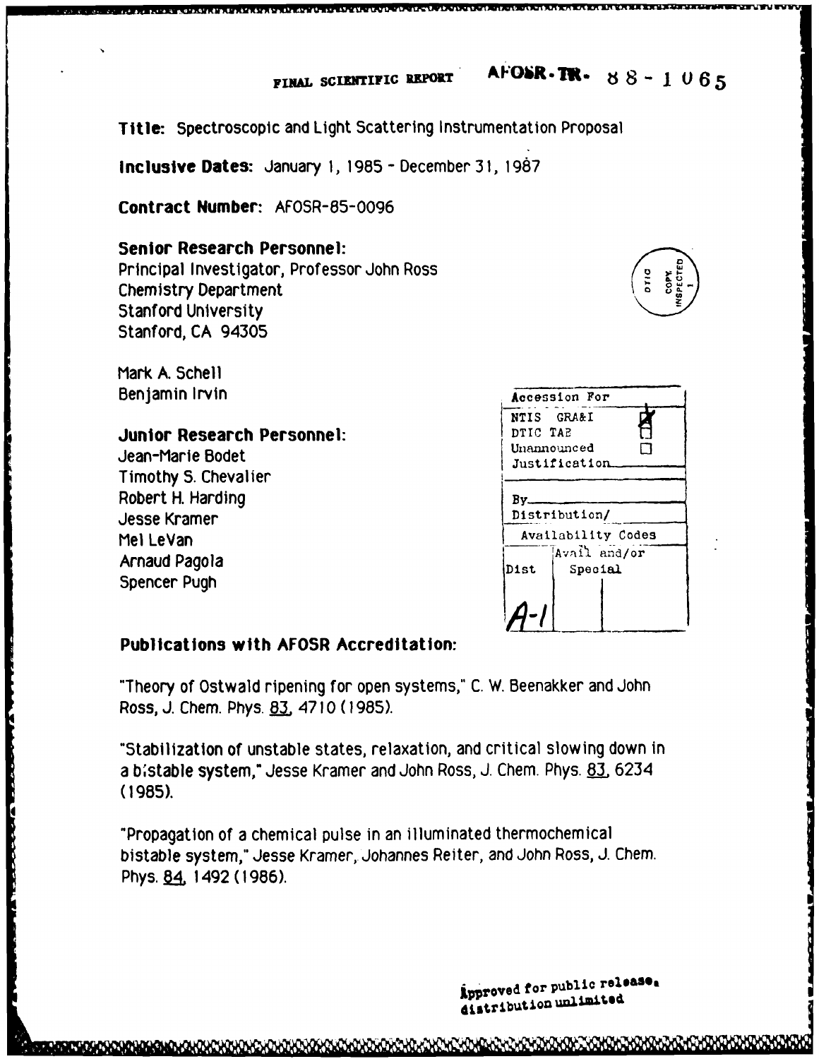**FINAL SCIENTIFIC REPORT AFOSR. TR.**  $88 - 1065$ 

**Title:** Spectroscopic and Light Scattering Instrumentation Proposal

**inclusive Dates: January 1, 1965 -** December **31, 1987**

**Contract Number: AFOSR-85-0096**

### **Senior Research Personnel:**

Principal Investigator, Professor John Ross Chemistry Department Stanford University Stanford, **CA** 94305

Mark A. Schell Benjamin Irvin

#### **Junior Research Personnel:**

Jean-Marie Bodet **Timothy S. Chevalier** Robert H. Harding Jesse Kramer Mel LeVan<br>Arnaud Pagola Meire and Availability Codes Menaud Pagola Dist<br>Spencer Pugh Dist

|                    | Accession For |  |  |  |  |  |
|--------------------|---------------|--|--|--|--|--|
| NTIS GRA&I         |               |  |  |  |  |  |
| DTIC TAB           |               |  |  |  |  |  |
| Unannounced        |               |  |  |  |  |  |
| Justification      |               |  |  |  |  |  |
|                    |               |  |  |  |  |  |
| By.                |               |  |  |  |  |  |
| Distribution/      |               |  |  |  |  |  |
| Availability Codes |               |  |  |  |  |  |
|                    | Avail and/or  |  |  |  |  |  |
| <b>Dist</b>        | Special       |  |  |  |  |  |
|                    |               |  |  |  |  |  |
|                    |               |  |  |  |  |  |

## **Publications with AFOSR Accreditation:**

"Theory of Ostw aid ripening **for** open systems," **C.** W. Beenakker and John Ross, **J.** Chem. Phys. **83** 4710 **(1985).**

"Stabilization of unstable states, relaxation, and critical slowing down in a **b** istable system," Jesse Kramer and John Ross, **J.** Chem. Phys. **83** 6234 **(1985).**

"Propagation of a chemical pulse in an illuminated thermochemical bistable system," Jesse Kramer, Johannes Reiter, and John Ross, **J.** Chem. Phys. 84, 1492 (1986).

irproved for public **relesea**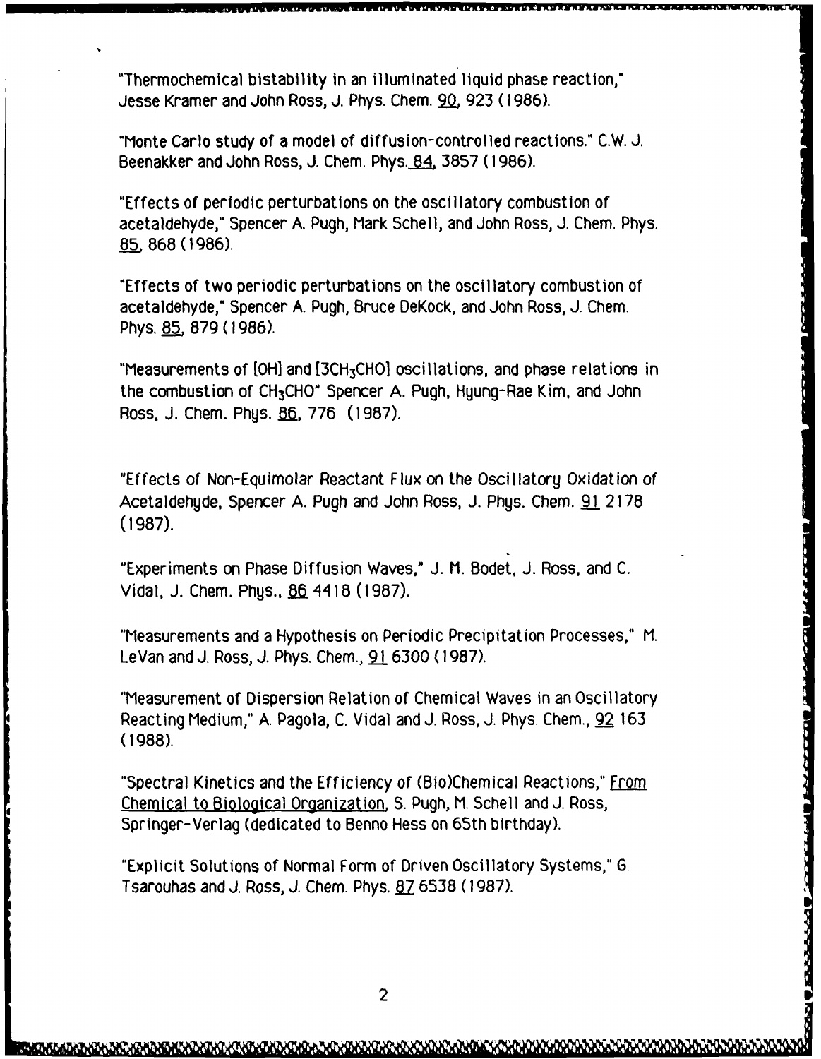"Thermochemical bistability In an illuminated liquid phase reaction," Jesse Kramer and John Ross, J. Phys. Chem. **90K 923** (1986).

"Monte Carlo study of a model of diffusion-controlled reactions." C.W. J. Beenakker and John Ross, J. Chem. Phys. **84.** 3857 (1986).

"Effects of periodic perturbations on the oscillatory combustion of acetaldehyde," Spencer **A.** Pugh, Mark Schell, and John Ross, **J.** Chem. Phys. **85.** 868 **(1986).**

"Effects of two periodic perturbations on the oscillatory combustion of acetaldehyde," Spencer **A.** Pugh, Bruce DeKock, and John Ross, J. Chem. Phys. 85, 879 (1986).

"Measurements of [OH] and [3CH<sub>3</sub>CHO] oscillations, and phase relations in the combustion of CH3CHO" Spencer A. Pugh, Hyung-Rae Kim, and John Ross, J. Chem. Phys. 86, 776 (1987).

"Effects of Non-Equimolar Reactant Flux on the Oscillatory Oxidation of Acetaldehyde, Spencer A. Pugh and John Ross, J. Phys. Chem. 91 2178 (1987).

"Experiments on Phase Diffusion Waves," J. M. Bodet, J. Ross, and C. Vidal, J. Chem. Phys., 86 4418 (1987).

"Measurements and a Hypothesis on Periodic Precipitation Processes," M. LeVan and J. Ross, J. Phys. Chem., **91** 6300 (1987).

"Measurement of Dispersion Relation of Chemical Waves in an Oscillatory Reacting Medium," A. Pagola, C. Vidal and J. Ross, J. Phys. Chem., 92 163 **(1988).**

"Spectral Kinetics and the Efficiency of (Bio)Chemical Reactions," From Chemical to Biological Organization, S. Pugh, M. Schell and J. Ross, Springer-Verlag (dedicated to Benno Hess on 65th birthday).

"Explicit Solutions of Normal Form of Driven Oscillatory Systems," G. Tsarouhas and **J.** Ross, **J.** Chem. Phys. **87** 6538 (1987).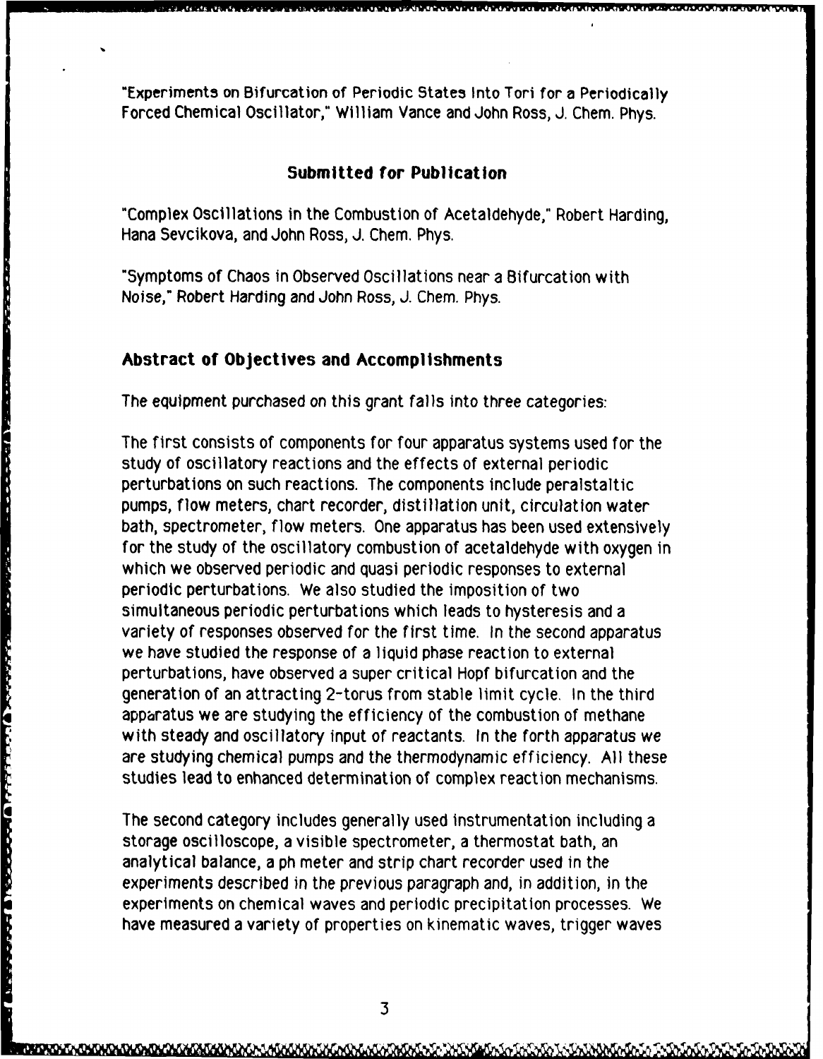"Experiments on Bifurcation of Periodic States Into Tori for a Periodically Forced Chemical Oscillator," William Vance and John Ross, J. Chem. Phys.

### **Submitted for Publication**

"Complex Oscillations in the Combustion of Acetaldehyde," Robert Harding, Hana Sevcikova, and John Ross, **J.** Chem. Phys.

"Symptoms of Chaos in Observed Oscillations near a Bifurcation with Noise," Robert Harding and John Ross, **J.** Chem. Phys.

# **Abstract of Objectives and Accomplishments**

**The second in the second second second in the second second second in the second second second in the second second second second second second second second second second second second second second second second second** 

**THE REPORT DIRECTOR IN THE LEASTER STATE** 

The equipment purchased on this grant falls into three categories:

The first consists of components for four apparatus systems used for the study of oscillatory reactions and the effects of external periodic perturbations on such reactions. The components include peralstaltic pumps, flow meters, chart recorder, distillation unit, circulation water bath, spectrometer, flow meters. One apparatus has been used extensively for the study of the oscillatory combustion of acetaldehyde with oxygen in which we observed periodic and quasi periodic responses to external periodic perturbations. We also studied the imposition of two simultaneous periodic perturbations which leads to hysteresis and a variety of responses observed for the first time. In the second apparatus we have studied the response of a liquid phase reaction to external perturbations, have observed a super critical Hopf bifurcation and the generation of an attracting 2-torus from stable limit cycle. In the third apparatus we are studying the efficiency of the combustion of methane with steady and oscillatory input of reactants. In the forth apparatus we are studying chemical pumps and the thermodynamic efficiency. **All** these studies lead to enhanced determination of complex reaction mechanisms.

The second category includes generally used instrumentation including a storage oscilloscope, a visible spectrometer, a thermostat bath, an analytical balance, a ph meter and strip chart recorder used in the experiments described in the previous paragraph and, in addition, in the experiments on chemical waves and periodic precipitation processes. We have measured a variety of properties on kinematic waves, trigger waves